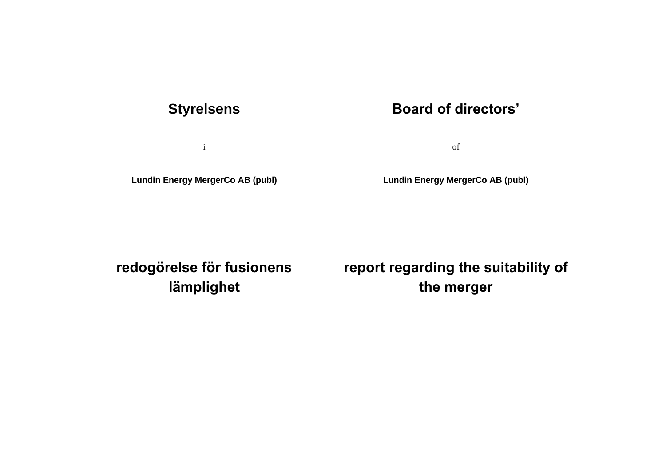# **Styrelsens**

i

**Lundin Energy MergerCo AB (publ)**

# **Board of directors'**

of

**Lundin Energy MergerCo AB (publ)**

**redogörelse för fusionens lämplighet**

**report regarding the suitability of the merger**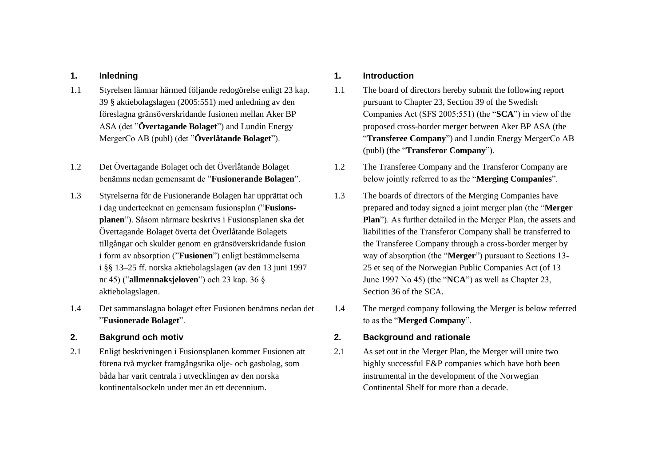- 1.1 Styrelsen lämnar härmed följande redogörelse enligt 23 kap. 39 § aktiebolagslagen (2005:551) med anledning av den föreslagna gränsöverskridande fusionen mellan Aker BP ASA (det "**Övertagande Bolaget**") and Lundin Energy MergerCo AB (publ) (det "**Överlåtande Bolaget**").
- 1.2 Det Övertagande Bolaget och det Överlåtande Bolaget benämns nedan gemensamt de "**Fusionerande Bolagen**".
- 1.3 Styrelserna för de Fusionerande Bolagen har upprättat och i dag undertecknat en gemensam fusionsplan ("**Fusionsplanen**"). Såsom närmare beskrivs i Fusionsplanen ska det Övertagande Bolaget överta det Överlåtande Bolagets tillgångar och skulder genom en gränsöverskridande fusion i form av absorption ("**Fusionen**") enligt bestämmelserna i §§ 13–25 ff. norska aktiebolagslagen (av den 13 juni 1997 nr 45) ("**allmennaksjeloven**") och 23 kap. 36 § aktiebolagslagen.
- 1.4 Det sammanslagna bolaget efter Fusionen benämns nedan det "**Fusionerade Bolaget**".
- 
- 2.1 Enligt beskrivningen i Fusionsplanen kommer Fusionen att förena två mycket framgångsrika olje- och gasbolag, som båda har varit centrala i utvecklingen av den norska kontinentalsockeln under mer än ett decennium.

## **1. Inledning 1. Introduction**

- 1.1 The board of directors hereby submit the following report pursuant to Chapter 23, Section 39 of the Swedish Companies Act (SFS 2005:551) (the "**SCA**") in view of the proposed cross-border merger between Aker BP ASA (the "**Transferee Company**") and Lundin Energy MergerCo AB (publ) (the "**Transferor Company**").
- 1.2 The Transferee Company and the Transferor Company are below jointly referred to as the "**Merging Companies**".
- 1.3 The boards of directors of the Merging Companies have prepared and today signed a joint merger plan (the "**Merger Plan**"). As further detailed in the Merger Plan, the assets and liabilities of the Transferor Company shall be transferred to the Transferee Company through a cross-border merger by way of absorption (the "**Merger**") pursuant to Sections 13- 25 et seq of the Norwegian Public Companies Act (of 13 June 1997 No 45) (the "**NCA**") as well as Chapter 23, Section 36 of the SCA.
- 1.4 The merged company following the Merger is below referred to as the "**Merged Company**".

# **2. Bakgrund och motiv 2. Background and rationale**

2.1 As set out in the Merger Plan, the Merger will unite two highly successful E&P companies which have both been instrumental in the development of the Norwegian Continental Shelf for more than a decade.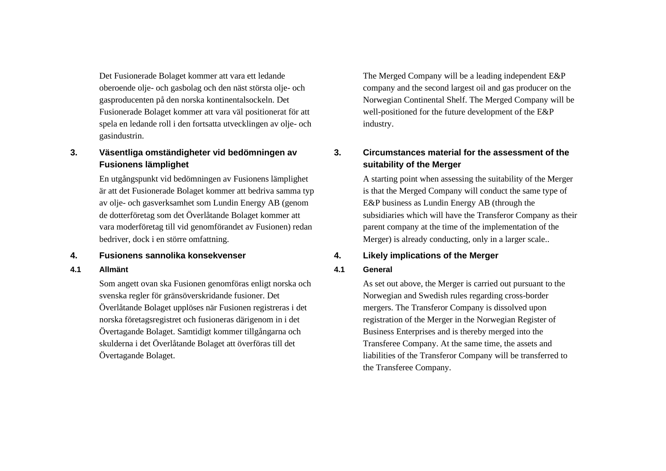Det Fusionerade Bolaget kommer att vara ett ledande oberoende olje- och gasbolag och den näst största olje- och gasproducenten på den norska kontinentalsockeln. Det Fusionerade Bolaget kommer att vara väl positionerat för att spela en ledande roll i den fortsatta utvecklingen av olje- och gasindustrin.

# **3. Väsentliga omständigheter vid bedömningen av Fusionens lämplighet**

En utgångspunkt vid bedömningen av Fusionens lämplighet är att det Fusionerade Bolaget kommer att bedriva samma typ av olje- och gasverksamhet som Lundin Energy AB (genom de dotterföretag som det Överlåtande Bolaget kommer att vara moderföretag till vid genomförandet av Fusionen) redan bedriver, dock i en större omfattning.

### **4. Fusionens sannolika konsekvenser 4. Likely implications of the Merger**

### **4.1 Allmänt 4.1 General**

Som angett ovan ska Fusionen genomföras enligt norska och svenska regler för gränsöverskridande fusioner. Det Överlåtande Bolaget upplöses när Fusionen registreras i det norska företagsregistret och fusioneras därigenom in i det Övertagande Bolaget. Samtidigt kommer tillgångarna och skulderna i det Överlåtande Bolaget att överföras till det Övertagande Bolaget.

The Merged Company will be a leading independent E&P company and the second largest oil and gas producer on the Norwegian Continental Shelf. The Merged Company will be well-positioned for the future development of the E&P industry.

# **3. Circumstances material for the assessment of the suitability of the Merger**

A starting point when assessing the suitability of the Merger is that the Merged Company will conduct the same type of E&P business as Lundin Energy AB (through the subsidiaries which will have the Transferor Company as their parent company at the time of the implementation of the Merger) is already conducting, only in a larger scale..

As set out above, the Merger is carried out pursuant to the Norwegian and Swedish rules regarding cross-border mergers. The Transferor Company is dissolved upon registration of the Merger in the Norwegian Register of Business Enterprises and is thereby merged into the Transferee Company. At the same time, the assets and liabilities of the Transferor Company will be transferred to the Transferee Company.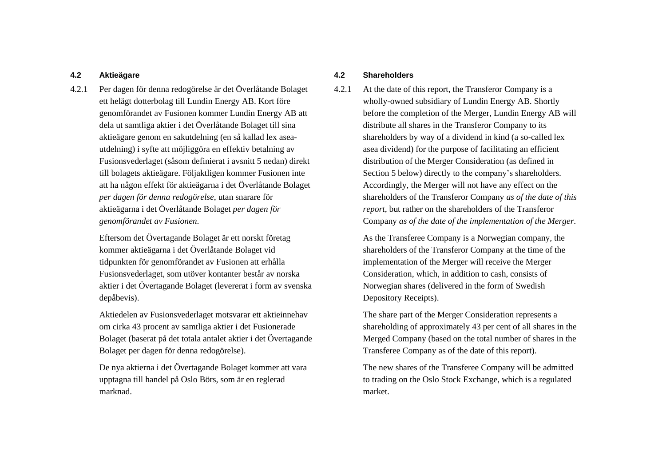4.2.1 Per dagen för denna redogörelse är det Överlåtande Bolaget ett helägt dotterbolag till Lundin Energy AB. Kort före genomförandet av Fusionen kommer Lundin Energy AB att dela ut samtliga aktier i det Överlåtande Bolaget till sina aktieägare genom en sakutdelning (en så kallad lex aseautdelning) i syfte att möjliggöra en effektiv betalning av Fusionsvederlaget (såsom definierat i avsnitt 5 nedan) direkt till bolagets aktieägare. Följaktligen kommer Fusionen inte att ha någon effekt för aktieägarna i det Överlåtande Bolaget *per dagen för denna redogörelse*, utan snarare för aktieägarna i det Överlåtande Bolaget *per dagen för genomförandet av Fusionen*.

> Eftersom det Övertagande Bolaget är ett norskt företag kommer aktieägarna i det Överlåtande Bolaget vid tidpunkten för genomförandet av Fusionen att erhålla Fusionsvederlaget, som utöver kontanter består av norska aktier i det Övertagande Bolaget (levererat i form av svenska depåbevis).

> Aktiedelen av Fusionsvederlaget motsvarar ett aktieinnehav om cirka 43 procent av samtliga aktier i det Fusionerade Bolaget (baserat på det totala antalet aktier i det Övertagande Bolaget per dagen för denna redogörelse).

De nya aktierna i det Övertagande Bolaget kommer att vara upptagna till handel på Oslo Börs, som är en reglerad marknad.

### **4.2 Aktieägare 4.2 Shareholders**

4.2.1 At the date of this report, the Transferor Company is a wholly-owned subsidiary of Lundin Energy AB. Shortly before the completion of the Merger, Lundin Energy AB will distribute all shares in the Transferor Company to its shareholders by way of a dividend in kind (a so-called lex asea dividend) for the purpose of facilitating an efficient distribution of the Merger Consideration (as defined in Section 5 below) directly to the company's shareholders. Accordingly, the Merger will not have any effect on the shareholders of the Transferor Company *as of the date of this report*, but rather on the shareholders of the Transferor Company *as of the date of the implementation of the Merger*.

> As the Transferee Company is a Norwegian company, the shareholders of the Transferor Company at the time of the implementation of the Merger will receive the Merger Consideration, which, in addition to cash, consists of Norwegian shares (delivered in the form of Swedish Depository Receipts).

The share part of the Merger Consideration represents a shareholding of approximately 43 per cent of all shares in the Merged Company (based on the total number of shares in the Transferee Company as of the date of this report).

The new shares of the Transferee Company will be admitted to trading on the Oslo Stock Exchange, which is a regulated market.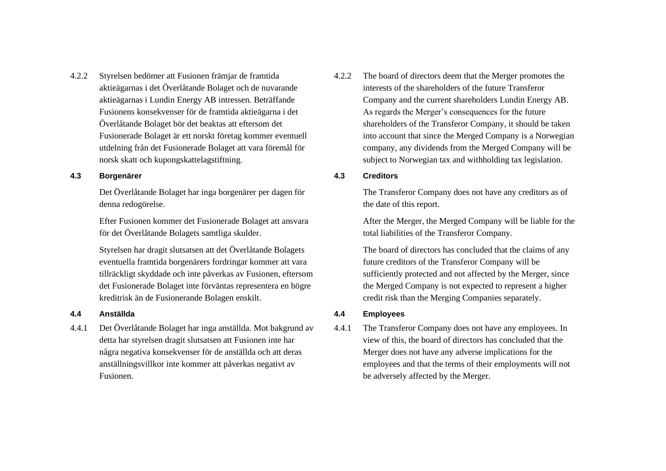4.2.2 Styrelsen bedömer att Fusionen främjar de framtida aktieägarnas i det Överlåtande Bolaget och de nuvarande aktieägarnas i Lundin Energy AB intressen. Beträffande Fusionens konsekvenser för de framtida aktieägarna i det Överlåtande Bolaget bör det beaktas att eftersom det Fusionerade Bolaget är ett norskt företag kommer eventuell utdelning från det Fusionerade Bolaget att vara föremål för norsk skatt och kupongskattelagstiftning.

### **4.3 Borgenärer 4.3 Creditors**

Det Överlåtande Bolaget har inga borgenärer per dagen för denna redogörelse.

Efter Fusionen kommer det Fusionerade Bolaget att ansvara för det Överlåtande Bolagets samtliga skulder.

Styrelsen har dragit slutsatsen att det Överlåtande Bolagets eventuella framtida borgenärers fordringar kommer att vara tillräckligt skyddade och inte påverkas av Fusionen, eftersom det Fusionerade Bolaget inte förväntas representera en högre kreditrisk än de Fusionerande Bolagen enskilt.

### **4.4 Anställda 4.4 Employees**

4.4.1 Det Överlåtande Bolaget har inga anställda. Mot bakgrund av detta har styrelsen dragit slutsatsen att Fusionen inte har några negativa konsekvenser för de anställda och att deras anställningsvillkor inte kommer att påverkas negativt av Fusionen.

4.2.2 The board of directors deem that the Merger promotes the interests of the shareholders of the future Transferor Company and the current shareholders Lundin Energy AB. As regards the Merger's consequences for the future shareholders of the Transferor Company, it should be taken into account that since the Merged Company is a Norwegian company, any dividends from the Merged Company will be subject to Norwegian tax and withholding tax legislation.

The Transferor Company does not have any creditors as of the date of this report.

After the Merger, the Merged Company will be liable for the total liabilities of the Transferor Company.

The board of directors has concluded that the claims of any future creditors of the Transferor Company will be sufficiently protected and not affected by the Merger, since the Merged Company is not expected to represent a higher credit risk than the Merging Companies separately.

4.4.1 The Transferor Company does not have any employees. In view of this, the board of directors has concluded that the Merger does not have any adverse implications for the employees and that the terms of their employments will not be adversely affected by the Merger.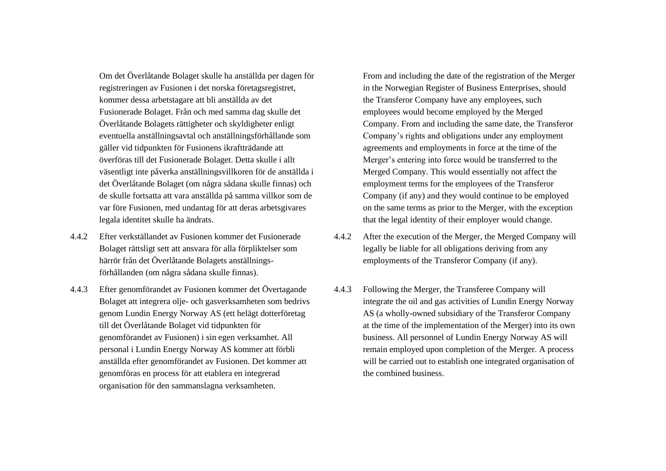Om det Överlåtande Bolaget skulle ha anställda per dagen för registreringen av Fusionen i det norska företagsregistret, kommer dessa arbetstagare att bli anställda av det Fusionerade Bolaget. Från och med samma dag skulle det Överlåtande Bolagets rättigheter och skyldigheter enligt eventuella anställningsavtal och anställningsförhållande som gäller vid tidpunkten för Fusionens ikraftträdande att överföras till det Fusionerade Bolaget. Detta skulle i allt väsentligt inte påverka anställningsvillkoren för de anställda i det Överlåtande Bolaget (om några sådana skulle finnas) och de skulle fortsatta att vara anställda på samma villkor som de var före Fusionen, med undantag för att deras arbetsgivares legala identitet skulle ha ändrats.

- 4.4.2 Efter verkställandet av Fusionen kommer det Fusionerade Bolaget rättsligt sett att ansvara för alla förpliktelser som härrör från det Överlåtande Bolagets anställningsförhållanden (om några sådana skulle finnas).
- 4.4.3 Efter genomförandet av Fusionen kommer det Övertagande Bolaget att integrera olje- och gasverksamheten som bedrivs genom Lundin Energy Norway AS (ett helägt dotterföretag till det Överlåtande Bolaget vid tidpunkten för genomförandet av Fusionen) i sin egen verksamhet. All personal i Lundin Energy Norway AS kommer att förbli anställda efter genomförandet av Fusionen. Det kommer att genomföras en process för att etablera en integrerad organisation för den sammanslagna verksamheten.

From and including the date of the registration of the Merger in the Norwegian Register of Business Enterprises, should the Transferor Company have any employees, such employees would become employed by the Merged Company. From and including the same date, the Transferor Company's rights and obligations under any employment agreements and employments in force at the time of the Merger's entering into force would be transferred to the Merged Company. This would essentially not affect the employment terms for the employees of the Transferor Company (if any) and they would continue to be employed on the same terms as prior to the Merger, with the exception that the legal identity of their employer would change.

- 4.4.2 After the execution of the Merger, the Merged Company will legally be liable for all obligations deriving from any employments of the Transferor Company (if any).
- 4.4.3 Following the Merger, the Transferee Company will integrate the oil and gas activities of Lundin Energy Norway AS (a wholly-owned subsidiary of the Transferor Company at the time of the implementation of the Merger) into its own business. All personnel of Lundin Energy Norway AS will remain employed upon completion of the Merger. A process will be carried out to establish one integrated organisation of the combined business.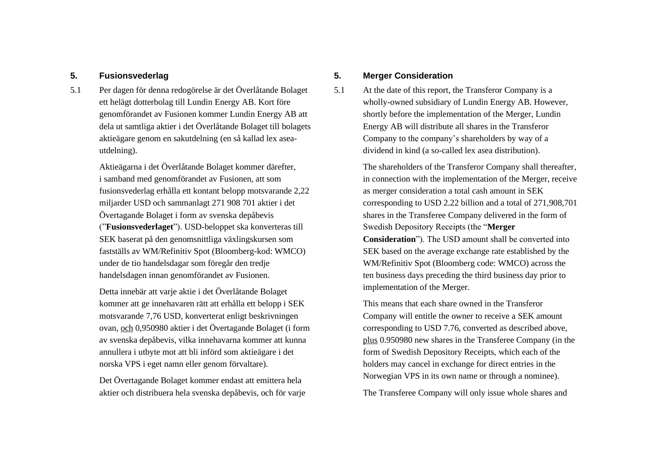5.1 Per dagen för denna redogörelse är det Överlåtande Bolaget ett helägt dotterbolag till Lundin Energy AB. Kort före genomförandet av Fusionen kommer Lundin Energy AB att dela ut samtliga aktier i det Överlåtande Bolaget till bolagets aktieägare genom en sakutdelning (en så kallad lex aseautdelning).

> Aktieägarna i det Överlåtande Bolaget kommer därefter, i samband med genomförandet av Fusionen, att som fusionsvederlag erhålla ett kontant belopp motsvarande 2,22 miljarder USD och sammanlagt 271 908 701 aktier i det Övertagande Bolaget i form av svenska depåbevis ("**Fusionsvederlaget**"). USD-beloppet ska konverteras till SEK baserat på den genomsnittliga växlingskursen som fastställs av WM/Refinitiv Spot (Bloomberg-kod: WMCO) under de tio handelsdagar som föregår den tredje handelsdagen innan genomförandet av Fusionen.

> Detta innebär att varje aktie i det Överlåtande Bolaget kommer att ge innehavaren rätt att erhålla ett belopp i SEK motsvarande 7,76 USD, konverterat enligt beskrivningen ovan, och 0,950980 aktier i det Övertagande Bolaget (i form av svenska depåbevis, vilka innehavarna kommer att kunna annullera i utbyte mot att bli införd som aktieägare i det norska VPS i eget namn eller genom förvaltare).

Det Övertagande Bolaget kommer endast att emittera hela aktier och distribuera hela svenska depåbevis, och för varje

## **5. Fusionsvederlag 5. Merger Consideration**

5.1 At the date of this report, the Transferor Company is a wholly-owned subsidiary of Lundin Energy AB. However, shortly before the implementation of the Merger, Lundin Energy AB will distribute all shares in the Transferor Company to the company's shareholders by way of a dividend in kind (a so-called lex asea distribution).

> The shareholders of the Transferor Company shall thereafter, in connection with the implementation of the Merger, receive as merger consideration a total cash amount in SEK corresponding to USD 2.22 billion and a total of 271,908,701 shares in the Transferee Company delivered in the form of Swedish Depository Receipts (the "**Merger Consideration**"). The USD amount shall be converted into SEK based on the average exchange rate established by the WM/Refinitiv Spot (Bloomberg code: WMCO) across the ten business days preceding the third business day prior to implementation of the Merger.

> This means that each share owned in the Transferor Company will entitle the owner to receive a SEK amount corresponding to USD 7.76, converted as described above, plus 0.950980 new shares in the Transferee Company (in the form of Swedish Depository Receipts, which each of the holders may cancel in exchange for direct entries in the Norwegian VPS in its own name or through a nominee).

The Transferee Company will only issue whole shares and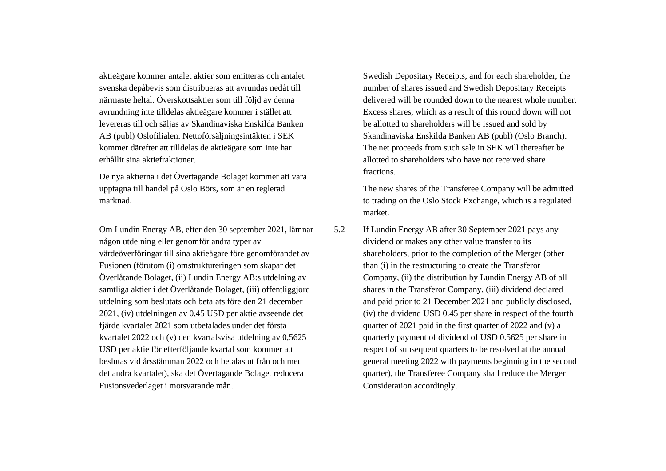aktieägare kommer antalet aktier som emitteras och antalet svenska depåbevis som distribueras att avrundas nedåt till närmaste heltal. Överskottsaktier som till följd av denna avrundning inte tilldelas aktieägare kommer i stället att levereras till och säljas av Skandinaviska Enskilda Banken AB (publ) Oslofilialen. Nettoförsäljningsintäkten i SEK kommer därefter att tilldelas de aktieägare som inte har erhållit sina aktiefraktioner.

De nya aktierna i det Övertagande Bolaget kommer att vara upptagna till handel på Oslo Börs, som är en reglerad marknad.

Om Lundin Energy AB, efter den 30 september 2021, lämnar någon utdelning eller genomför andra typer av värdeöverföringar till sina aktieägare före genomförandet av Fusionen (förutom (i) omstruktureringen som skapar det Överlåtande Bolaget, (ii) Lundin Energy AB:s utdelning av samtliga aktier i det Överlåtande Bolaget, (iii) offentliggjord utdelning som beslutats och betalats före den 21 december 2021, (iv) utdelningen av 0,45 USD per aktie avseende det fjärde kvartalet 2021 som utbetalades under det första kvartalet 2022 och (v) den kvartalsvisa utdelning av 0,5625 USD per aktie för efterföljande kvartal som kommer att beslutas vid årsstämman 2022 och betalas ut från och med det andra kvartalet), ska det Övertagande Bolaget reducera Fusionsvederlaget i motsvarande mån.

Swedish Depositary Receipts, and for each shareholder, the number of shares issued and Swedish Depositary Receipts delivered will be rounded down to the nearest whole number. Excess shares, which as a result of this round down will not be allotted to shareholders will be issued and sold by Skandinaviska Enskilda Banken AB (publ) (Oslo Branch). The net proceeds from such sale in SEK will thereafter be allotted to shareholders who have not received share fractions.

The new shares of the Transferee Company will be admitted to trading on the Oslo Stock Exchange, which is a regulated market.

5.2 If Lundin Energy AB after 30 September 2021 pays any dividend or makes any other value transfer to its shareholders, prior to the completion of the Merger (other than (i) in the restructuring to create the Transferor Company, (ii) the distribution by Lundin Energy AB of all shares in the Transferor Company, (iii) dividend declared and paid prior to 21 December 2021 and publicly disclosed, (iv) the dividend USD 0.45 per share in respect of the fourth quarter of 2021 paid in the first quarter of 2022 and (v) a quarterly payment of dividend of USD 0.5625 per share in respect of subsequent quarters to be resolved at the annual general meeting 2022 with payments beginning in the second quarter), the Transferee Company shall reduce the Merger Consideration accordingly.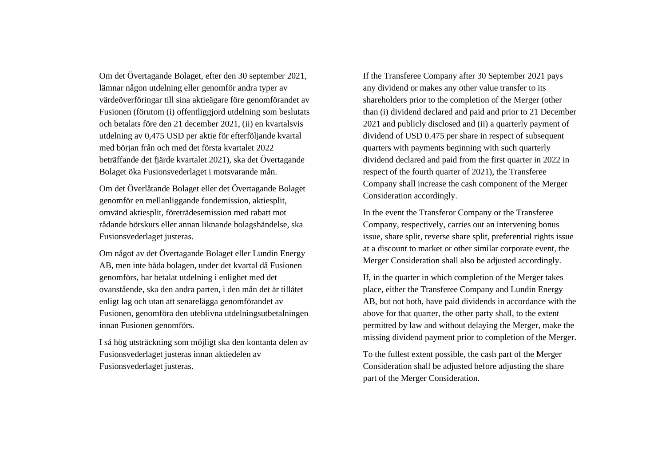Om det Övertagande Bolaget, efter den 30 september 2021, lämnar någon utdelning eller genomför andra typer av värdeöverföringar till sina aktieägare före genomförandet av Fusionen (förutom (i) offentliggjord utdelning som beslutats och betalats före den 21 december 2021, (ii) en kvartalsvis utdelning av 0,475 USD per aktie för efterföljande kvartal med början från och med det första kvartalet 2022 beträffande det fjärde kvartalet 2021), ska det Övertagande Bolaget öka Fusionsvederlaget i motsvarande mån.

Om det Överlåtande Bolaget eller det Övertagande Bolaget genomför en mellanliggande fondemission, aktiesplit, omvänd aktiesplit, företrädesemission med rabatt mot rådande börskurs eller annan liknande bolagshändelse, ska Fusionsvederlaget justeras.

Om något av det Övertagande Bolaget eller Lundin Energy AB, men inte båda bolagen, under det kvartal då Fusionen genomförs, har betalat utdelning i enlighet med det ovanstående, ska den andra parten, i den mån det är tillåtet enligt lag och utan att senarelägga genomförandet av Fusionen, genomföra den uteblivna utdelningsutbetalningen innan Fusionen genomförs.

I så hög utsträckning som möjligt ska den kontanta delen av Fusionsvederlaget justeras innan aktiedelen av Fusionsvederlaget justeras.

If the Transferee Company after 30 September 2021 pays any dividend or makes any other value transfer to its shareholders prior to the completion of the Merger (other than (i) dividend declared and paid and prior to 21 December 2021 and publicly disclosed and (ii) a quarterly payment of dividend of USD 0.475 per share in respect of subsequent quarters with payments beginning with such quarterly dividend declared and paid from the first quarter in 2022 in respect of the fourth quarter of 2021), the Transferee Company shall increase the cash component of the Merger Consideration accordingly.

In the event the Transferor Company or the Transferee Company, respectively, carries out an intervening bonus issue, share split, reverse share split, preferential rights issue at a discount to market or other similar corporate event, the Merger Consideration shall also be adjusted accordingly.

If, in the quarter in which completion of the Merger takes place, either the Transferee Company and Lundin Energy AB, but not both, have paid dividends in accordance with the above for that quarter, the other party shall, to the extent permitted by law and without delaying the Merger, make the missing dividend payment prior to completion of the Merger.

To the fullest extent possible, the cash part of the Merger Consideration shall be adjusted before adjusting the share part of the Merger Consideration.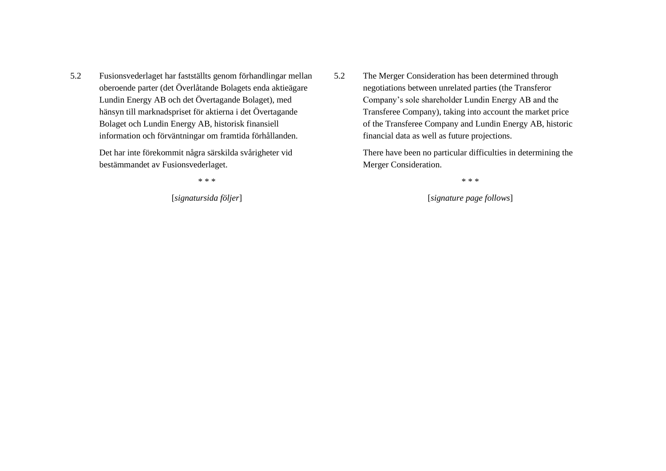5.2 Fusionsvederlaget har fastställts genom förhandlingar mellan oberoende parter (det Överlåtande Bolagets enda aktieägare Lundin Energy AB och det Övertagande Bolaget), med hänsyn till marknadspriset för aktierna i det Övertagande Bolaget och Lundin Energy AB, historisk finansiell information och förväntningar om framtida förhållanden.

> Det har inte förekommit några särskilda svårigheter vid bestämmandet av Fusionsvederlaget.

5.2 The Merger Consideration has been determined through negotiations between unrelated parties (the Transferor Company's sole shareholder Lundin Energy AB and the Transferee Company), taking into account the market price of the Transferee Company and Lundin Energy AB, historic financial data as well as future projections.

> There have been no particular difficulties in determining the Merger Consideration.

\* \* \* \* \* \*

[*signatursida följer*] [*signature page follows*]